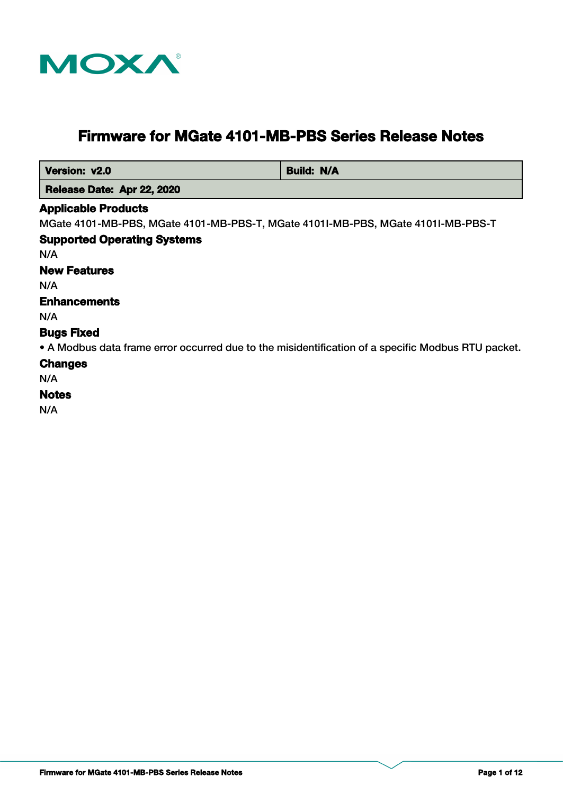

# **Firmware for MGate 4101-MB-PBS Series Release Notes**

| Version: v2.0                                                                    | <b>Build: N/A</b> |  |
|----------------------------------------------------------------------------------|-------------------|--|
| Release Date: Apr 22, 2020                                                       |                   |  |
| <b>Applicable Products</b>                                                       |                   |  |
| MGate 4101-MB-PBS, MGate 4101-MB-PBS-T, MGate 41011-MB-PBS, MGate 41011-MB-PBS-T |                   |  |
| <b>Supported Operating Systems</b>                                               |                   |  |
| N/A                                                                              |                   |  |
| <b>New Features</b>                                                              |                   |  |
| N/A                                                                              |                   |  |
| <b>Enhancements</b>                                                              |                   |  |
| N/A                                                                              |                   |  |
| <b>Bugs Fixed</b>                                                                |                   |  |

• A Modbus data frame error occurred due to the misidentification of a specific Modbus RTU packet.

# **Changes**

# N/A

# **Notes**

N/A

 $\overline{\phantom{0}}$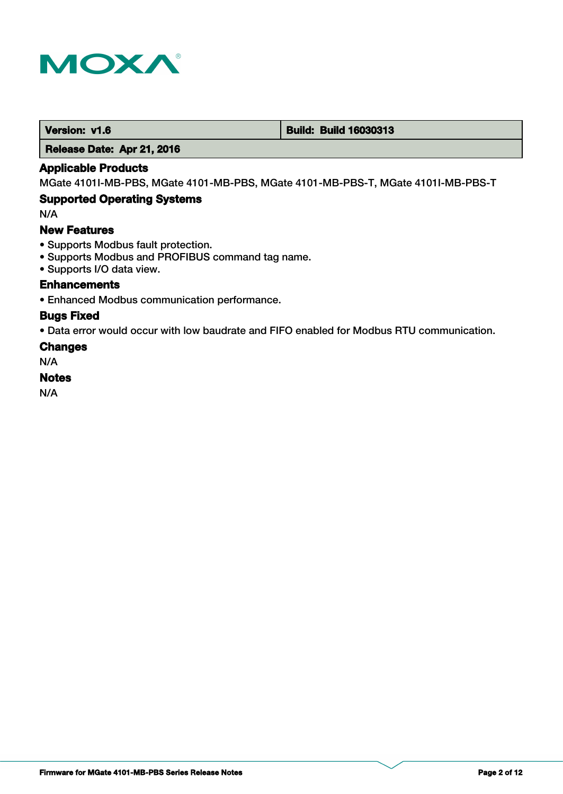

#### **Version: v1.6 Build: Build: Build 16030313**

 **Release Date: Apr 21, 2016**

### **Applicable Products**

MGate 4101I-MB-PBS, MGate 4101-MB-PBS, MGate 4101-MB-PBS-T, MGate 4101I-MB-PBS-T

### **Supported Operating Systems**

N/A

### **New Features**

- Supports Modbus fault protection.
- Supports Modbus and PROFIBUS command tag name.
- Supports I/O data view.

### **Enhancements**

• Enhanced Modbus communication performance.

#### **Bugs Fixed**

• Data error would occur with low baudrate and FIFO enabled for Modbus RTU communication.

#### **Changes**

N/A

#### **Notes**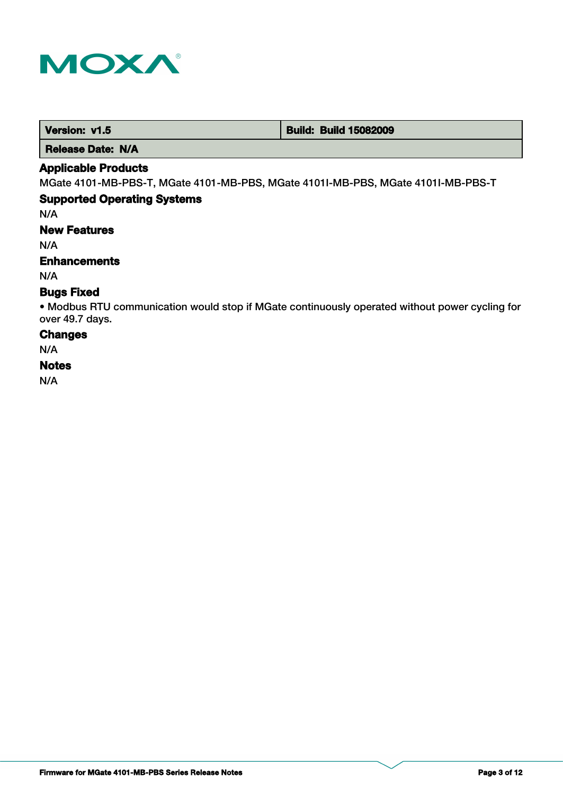

| Version: v1.5 | <b>Build: Build 15082009</b> |
|---------------|------------------------------|
|---------------|------------------------------|

 **Release Date: N/A**

# **Applicable Products**

MGate 4101-MB-PBS-T, MGate 4101-MB-PBS, MGate 4101I-MB-PBS, MGate 4101I-MB-PBS-T

# **Supported Operating Systems**

N/A

# **New Features**

N/A

### **Enhancements**

N/A

### **Bugs Fixed**

• Modbus RTU communication would stop if MGate continuously operated without power cycling for over 49.7 days.

#### **Changes**

N/A

#### **Notes**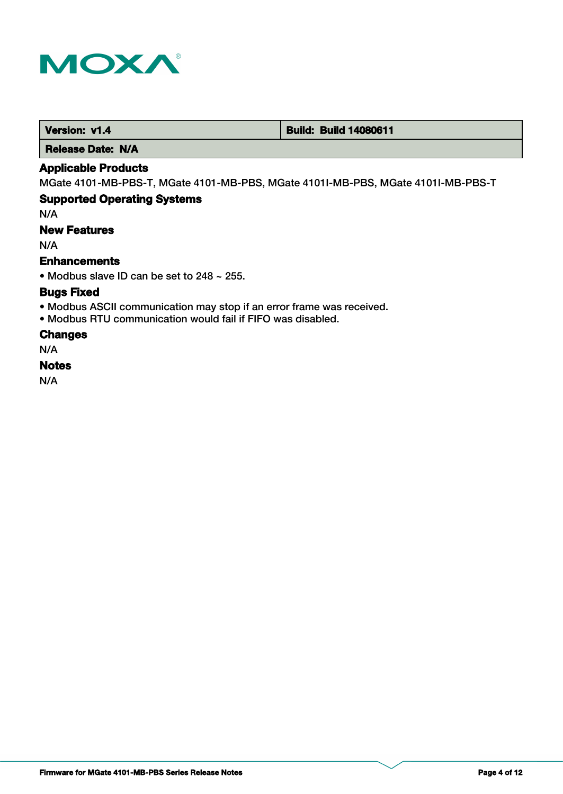

 **Version: v1.4 1.4 Build: Build: Build 14080611** 

 **Release Date: N/A**

### **Applicable Products**

MGate 4101-MB-PBS-T, MGate 4101-MB-PBS, MGate 4101I-MB-PBS, MGate 4101I-MB-PBS-T

# **Supported Operating Systems**

N/A

# **New Features**

N/A

### **Enhancements**

• Modbus slave ID can be set to 248 ~ 255.

### **Bugs Fixed**

- Modbus ASCII communication may stop if an error frame was received.
- Modbus RTU communication would fail if FIFO was disabled.

### **Changes**

N/A

### **Notes**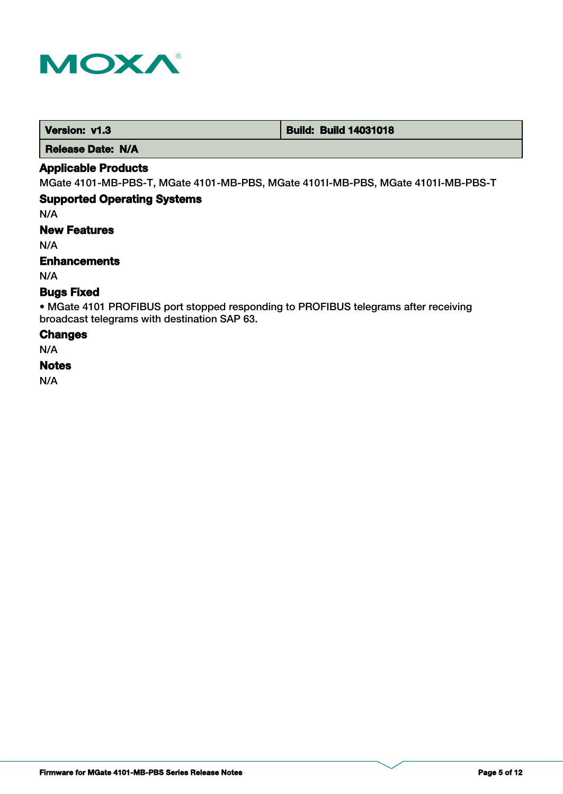

 **Version: v1.3 Build: Build: Build 14031018** 

 **Release Date: N/A**

### **Applicable Products**

MGate 4101-MB-PBS-T, MGate 4101-MB-PBS, MGate 4101I-MB-PBS, MGate 4101I-MB-PBS-T

# **Supported Operating Systems**

N/A

**New Features**

N/A

### **Enhancements**

N/A

### **Bugs Fixed**

• MGate 4101 PROFIBUS port stopped responding to PROFIBUS telegrams after receiving broadcast telegrams with destination SAP 63.

#### **Changes**

N/A

### **Notes**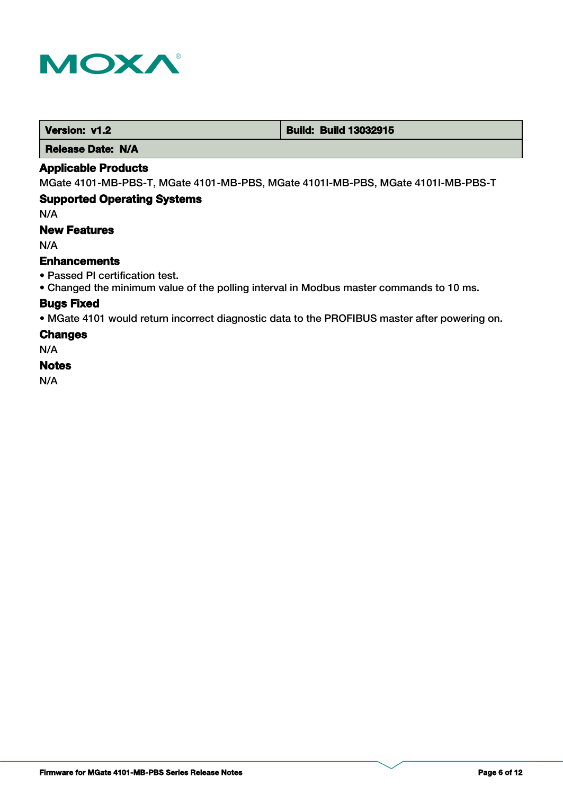

 **Version: v1.2 Build: Build: Build 13032915** 

 **Release Date: N/A**

### **Applicable Products**

MGate 4101-MB-PBS-T, MGate 4101-MB-PBS, MGate 4101I-MB-PBS, MGate 4101I-MB-PBS-T

### **Supported Operating Systems**

N/A

# **New Features**

N/A

#### **Enhancements**

- Passed PI certification test.
- Changed the minimum value of the polling interval in Modbus master commands to 10 ms.

### **Bugs Fixed**

• MGate 4101 would return incorrect diagnostic data to the PROFIBUS master after powering on.

#### **Changes**

N/A

### **Notes**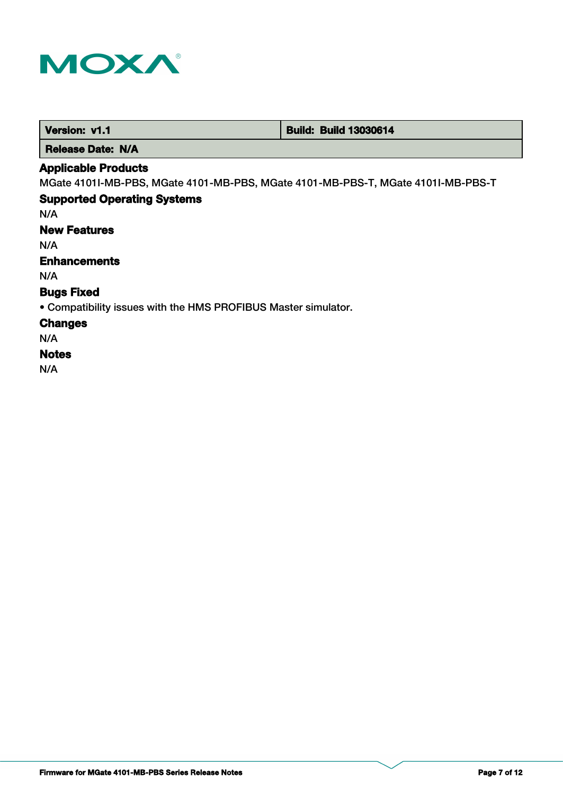

| <b>Build: Build 13030614</b><br>Version: v1.1 |
|-----------------------------------------------|
|-----------------------------------------------|

 **Release Date: N/A**

# **Applicable Products**

MGate 4101I-MB-PBS, MGate 4101-MB-PBS, MGate 4101-MB-PBS-T, MGate 4101I-MB-PBS-T

# **Supported Operating Systems**

N/A

# **New Features**

N/A

# **Enhancements**

N/A

# **Bugs Fixed**

• Compatibility issues with the HMS PROFIBUS Master simulator.

### **Changes**

N/A

### **Notes**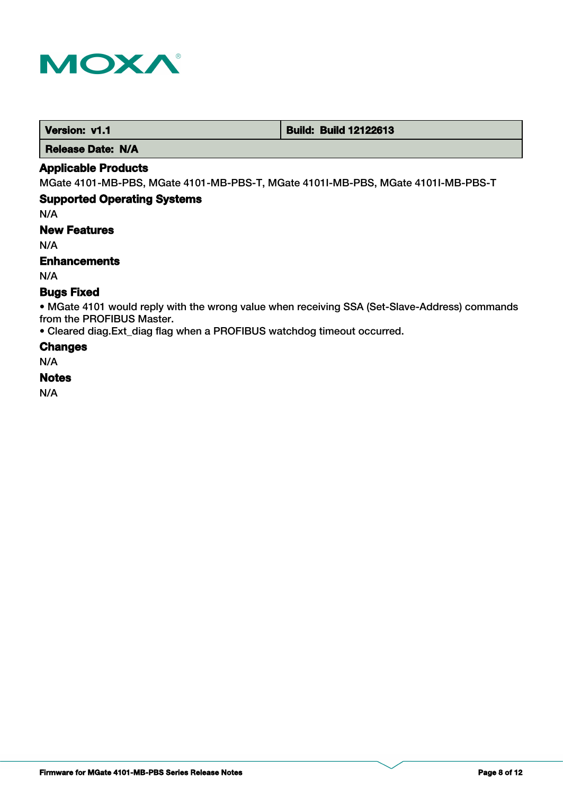

 **Version: v1.1 Construction: Construction: Build: Build: Build 12122613** 

 **Release Date: N/A**

### **Applicable Products**

MGate 4101-MB-PBS, MGate 4101-MB-PBS-T, MGate 4101I-MB-PBS, MGate 4101I-MB-PBS-T

#### **Supported Operating Systems**

N/A

### **New Features**

N/A

### **Enhancements**

N/A

### **Bugs Fixed**

• MGate 4101 would reply with the wrong value when receiving SSA (Set-Slave-Address) commands from the PROFIBUS Master.

• Cleared diag.Ext\_diag flag when a PROFIBUS watchdog timeout occurred.

### **Changes**

N/A

### **Notes**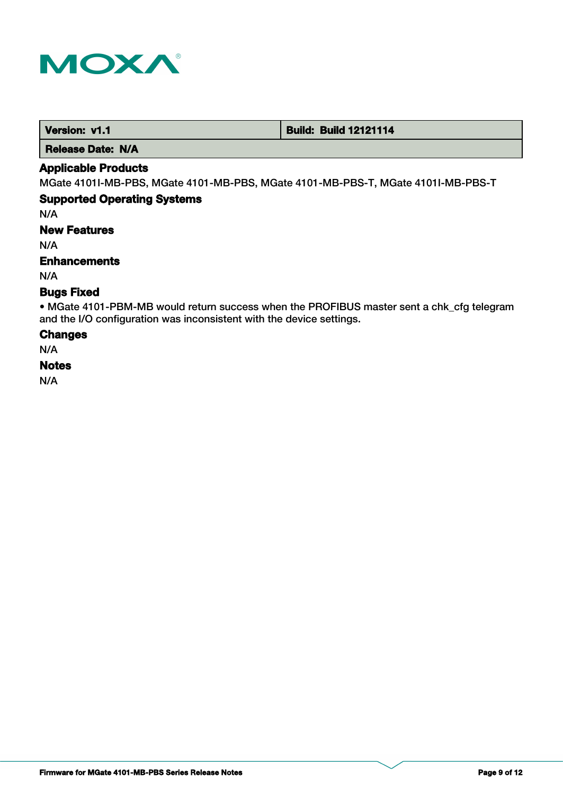

 **Version: v1.1 Version: v1.1 Build: Build: Build 12121114** 

 **Release Date: N/A**

### **Applicable Products**

MGate 4101I-MB-PBS, MGate 4101-MB-PBS, MGate 4101-MB-PBS-T, MGate 4101I-MB-PBS-T

### **Supported Operating Systems**

N/A

**New Features**

N/A

### **Enhancements**

N/A

### **Bugs Fixed**

• MGate 4101-PBM-MB would return success when the PROFIBUS master sent a chk\_cfg telegram and the I/O configuration was inconsistent with the device settings.

#### **Changes**

N/A

### **Notes**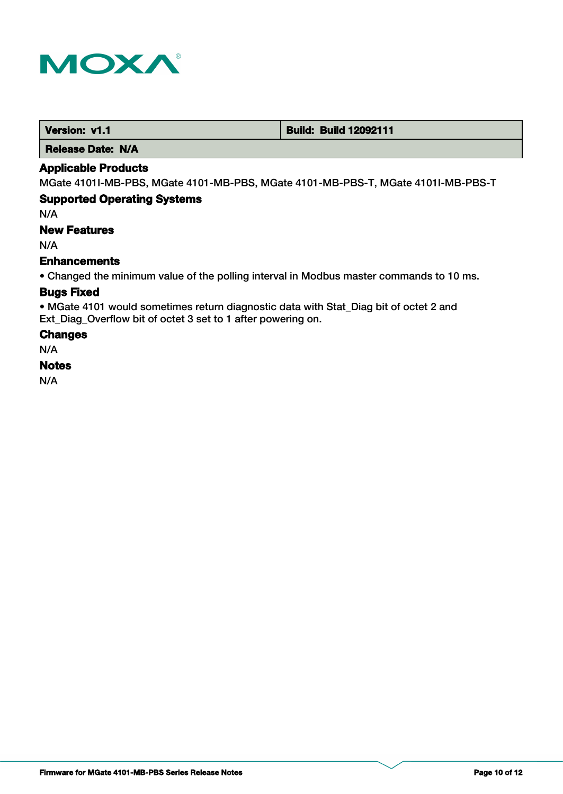

| Version: v1.1 | <b>Build: Build 12092111</b> |
|---------------|------------------------------|
|---------------|------------------------------|

 **Release Date: N/A**

### **Applicable Products**

MGate 4101I-MB-PBS, MGate 4101-MB-PBS, MGate 4101-MB-PBS-T, MGate 4101I-MB-PBS-T

### **Supported Operating Systems**

N/A

# **New Features**

N/A

### **Enhancements**

• Changed the minimum value of the polling interval in Modbus master commands to 10 ms.

### **Bugs Fixed**

• MGate 4101 would sometimes return diagnostic data with Stat\_Diag bit of octet 2 and Ext\_Diag\_Overflow bit of octet 3 set to 1 after powering on.

#### **Changes**

N/A

### **Notes**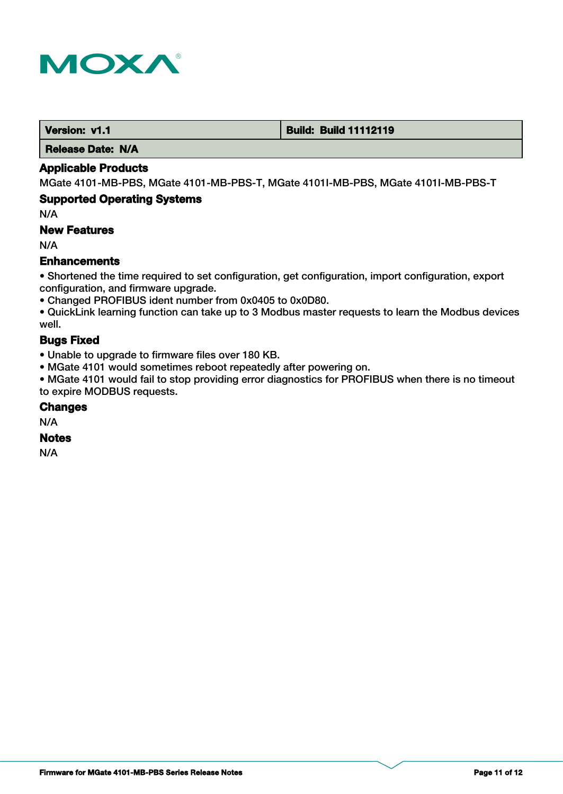

#### **Version: v1.1 Version: v1.1 Build: Build: Build 11112119**

 **Release Date: N/A**

### **Applicable Products**

MGate 4101-MB-PBS, MGate 4101-MB-PBS-T, MGate 4101I-MB-PBS, MGate 4101I-MB-PBS-T

### **Supported Operating Systems**

N/A

### **New Features**

N/A

### **Enhancements**

• Shortened the time required to set configuration, get configuration, import configuration, export configuration, and firmware upgrade.

• Changed PROFIBUS ident number from 0x0405 to 0x0D80.

• QuickLink learning function can take up to 3 Modbus master requests to learn the Modbus devices well.

# **Bugs Fixed**

• Unable to upgrade to firmware files over 180 KB.

• MGate 4101 would sometimes reboot repeatedly after powering on.

• MGate 4101 would fail to stop providing error diagnostics for PROFIBUS when there is no timeout to expire MODBUS requests.

### **Changes**

N/A

# **Notes**